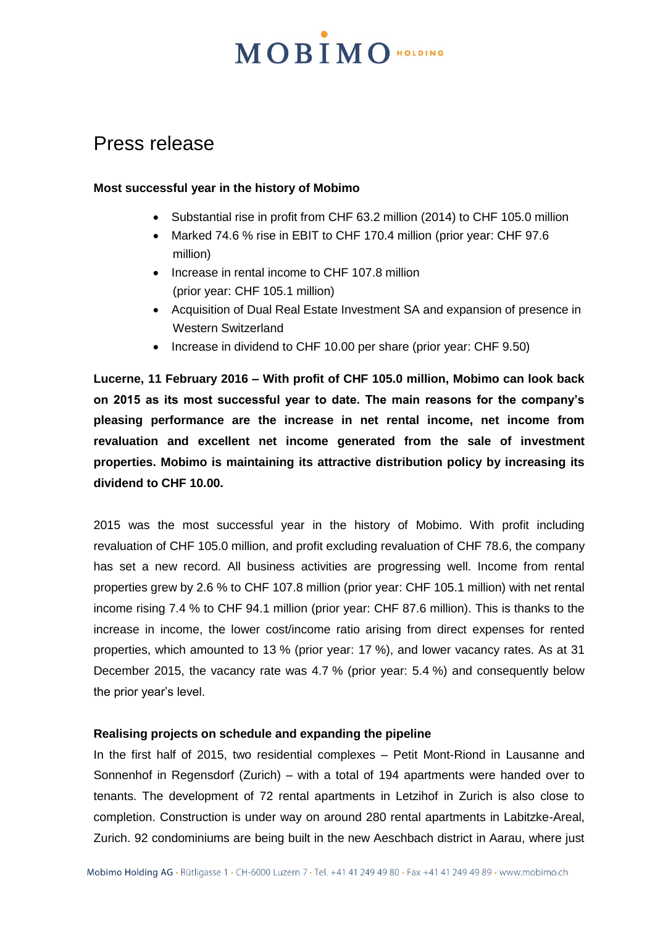### Press release

### **Most successful year in the history of Mobimo**

- Substantial rise in profit from CHF 63.2 million (2014) to CHF 105.0 million
- Marked 74.6 % rise in EBIT to CHF 170.4 million (prior year: CHF 97.6 million)
- Increase in rental income to CHF 107.8 million (prior year: CHF 105.1 million)
- Acquisition of Dual Real Estate Investment SA and expansion of presence in Western Switzerland
- Increase in dividend to CHF 10.00 per share (prior year: CHF 9.50)

**Lucerne, 11 February 2016 – With profit of CHF 105.0 million, Mobimo can look back on 2015 as its most successful year to date. The main reasons for the company's pleasing performance are the increase in net rental income, net income from revaluation and excellent net income generated from the sale of investment properties. Mobimo is maintaining its attractive distribution policy by increasing its dividend to CHF 10.00.** 

2015 was the most successful year in the history of Mobimo. With profit including revaluation of CHF 105.0 million, and profit excluding revaluation of CHF 78.6, the company has set a new record. All business activities are progressing well. Income from rental properties grew by 2.6 % to CHF 107.8 million (prior year: CHF 105.1 million) with net rental income rising 7.4 % to CHF 94.1 million (prior year: CHF 87.6 million). This is thanks to the increase in income, the lower cost/income ratio arising from direct expenses for rented properties, which amounted to 13 % (prior year: 17 %), and lower vacancy rates. As at 31 December 2015, the vacancy rate was 4.7 % (prior year: 5.4 %) and consequently below the prior year's level.

### **Realising projects on schedule and expanding the pipeline**

In the first half of 2015, two residential complexes – Petit Mont-Riond in Lausanne and Sonnenhof in Regensdorf (Zurich) – with a total of 194 apartments were handed over to tenants. The development of 72 rental apartments in Letzihof in Zurich is also close to completion. Construction is under way on around 280 rental apartments in Labitzke-Areal, Zurich. 92 condominiums are being built in the new Aeschbach district in Aarau, where just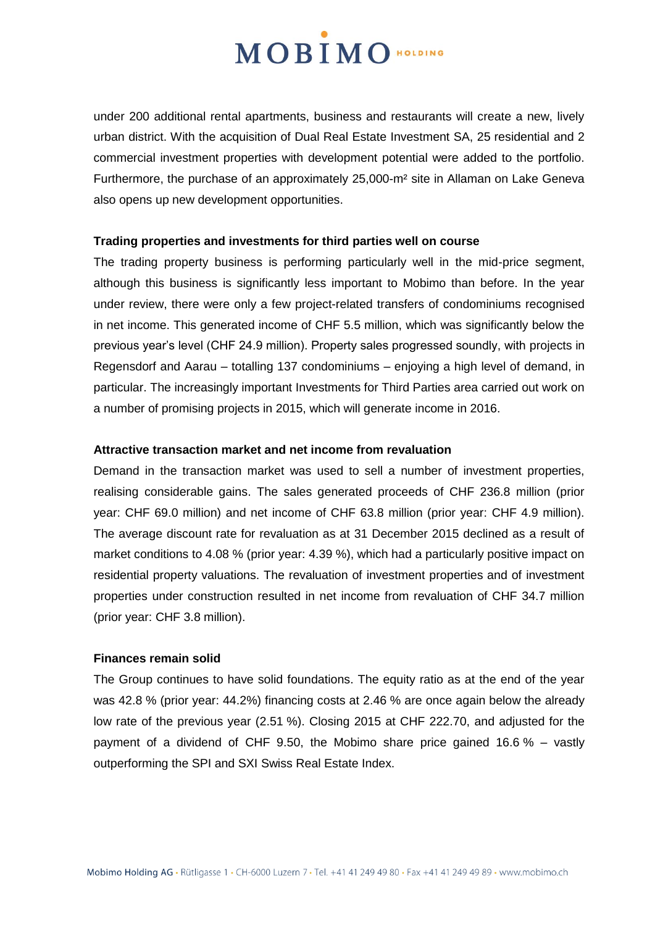under 200 additional rental apartments, business and restaurants will create a new, lively urban district. With the acquisition of Dual Real Estate Investment SA, 25 residential and 2 commercial investment properties with development potential were added to the portfolio. Furthermore, the purchase of an approximately 25,000-m² site in Allaman on Lake Geneva also opens up new development opportunities.

### **Trading properties and investments for third parties well on course**

The trading property business is performing particularly well in the mid-price segment, although this business is significantly less important to Mobimo than before. In the year under review, there were only a few project-related transfers of condominiums recognised in net income. This generated income of CHF 5.5 million, which was significantly below the previous year's level (CHF 24.9 million). Property sales progressed soundly, with projects in Regensdorf and Aarau – totalling 137 condominiums – enjoying a high level of demand, in particular. The increasingly important Investments for Third Parties area carried out work on a number of promising projects in 2015, which will generate income in 2016.

### **Attractive transaction market and net income from revaluation**

Demand in the transaction market was used to sell a number of investment properties, realising considerable gains. The sales generated proceeds of CHF 236.8 million (prior year: CHF 69.0 million) and net income of CHF 63.8 million (prior year: CHF 4.9 million). The average discount rate for revaluation as at 31 December 2015 declined as a result of market conditions to 4.08 % (prior year: 4.39 %), which had a particularly positive impact on residential property valuations. The revaluation of investment properties and of investment properties under construction resulted in net income from revaluation of CHF 34.7 million (prior year: CHF 3.8 million).

### **Finances remain solid**

The Group continues to have solid foundations. The equity ratio as at the end of the year was 42.8 % (prior year: 44.2%) financing costs at 2.46 % are once again below the already low rate of the previous year (2.51 %). Closing 2015 at CHF 222.70, and adjusted for the payment of a dividend of CHF 9.50, the Mobimo share price gained 16.6 % – vastly outperforming the SPI and SXI Swiss Real Estate Index.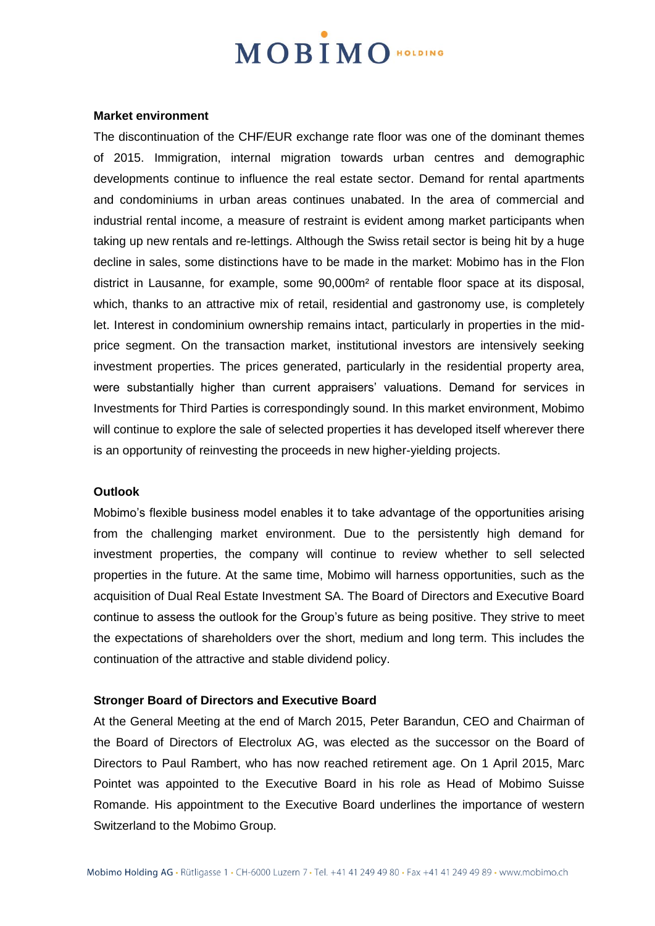#### **Market environment**

The discontinuation of the CHF/EUR exchange rate floor was one of the dominant themes of 2015. Immigration, internal migration towards urban centres and demographic developments continue to influence the real estate sector. Demand for rental apartments and condominiums in urban areas continues unabated. In the area of commercial and industrial rental income, a measure of restraint is evident among market participants when taking up new rentals and re-lettings. Although the Swiss retail sector is being hit by a huge decline in sales, some distinctions have to be made in the market: Mobimo has in the Flon district in Lausanne, for example, some 90,000m² of rentable floor space at its disposal, which, thanks to an attractive mix of retail, residential and gastronomy use, is completely let. Interest in condominium ownership remains intact, particularly in properties in the midprice segment. On the transaction market, institutional investors are intensively seeking investment properties. The prices generated, particularly in the residential property area, were substantially higher than current appraisers' valuations. Demand for services in Investments for Third Parties is correspondingly sound. In this market environment, Mobimo will continue to explore the sale of selected properties it has developed itself wherever there is an opportunity of reinvesting the proceeds in new higher-yielding projects.

### **Outlook**

Mobimo's flexible business model enables it to take advantage of the opportunities arising from the challenging market environment. Due to the persistently high demand for investment properties, the company will continue to review whether to sell selected properties in the future. At the same time, Mobimo will harness opportunities, such as the acquisition of Dual Real Estate Investment SA. The Board of Directors and Executive Board continue to assess the outlook for the Group's future as being positive. They strive to meet the expectations of shareholders over the short, medium and long term. This includes the continuation of the attractive and stable dividend policy.

### **Stronger Board of Directors and Executive Board**

At the General Meeting at the end of March 2015, Peter Barandun, CEO and Chairman of the Board of Directors of Electrolux AG, was elected as the successor on the Board of Directors to Paul Rambert, who has now reached retirement age. On 1 April 2015, Marc Pointet was appointed to the Executive Board in his role as Head of Mobimo Suisse Romande. His appointment to the Executive Board underlines the importance of western Switzerland to the Mobimo Group.